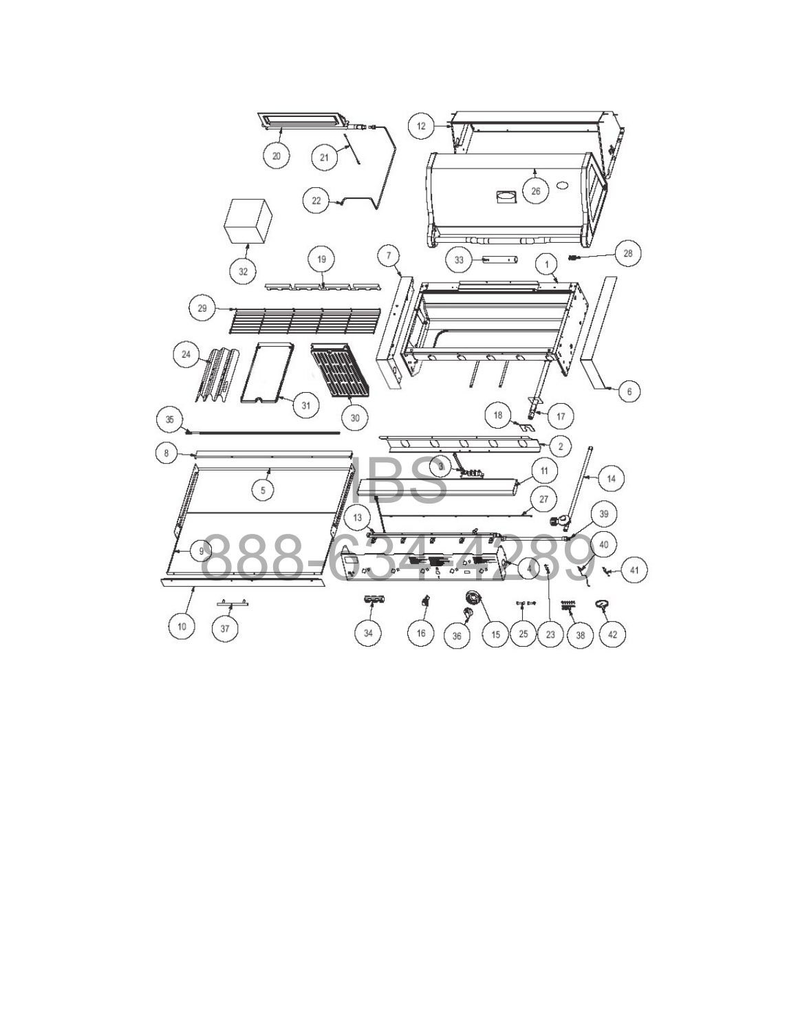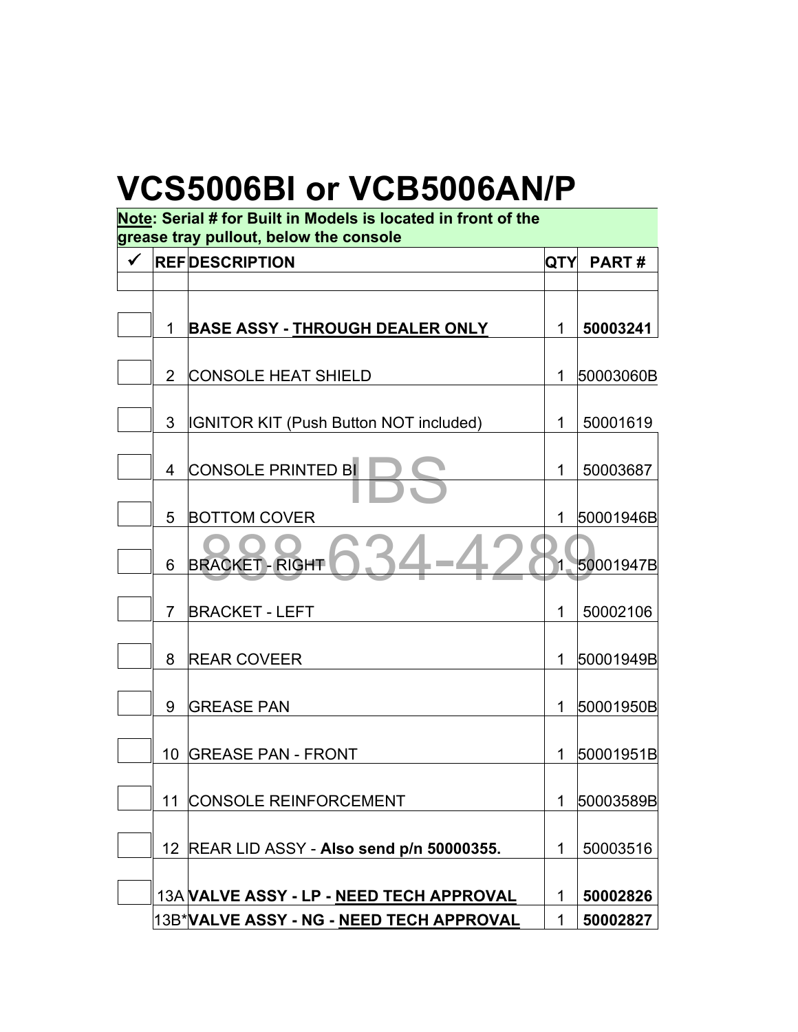## **VCS5006BI or VCB5006AN/P**

| Note: Serial # for Built in Models is located in front of the<br>grease tray pullout, below the console |    |                                               |     |              |  |
|---------------------------------------------------------------------------------------------------------|----|-----------------------------------------------|-----|--------------|--|
| $\checkmark$                                                                                            |    | <b>REFIDESCRIPTION</b>                        | QTY | <b>PART#</b> |  |
|                                                                                                         |    |                                               |     |              |  |
|                                                                                                         | 1  | <b>BASE ASSY - THROUGH DEALER ONLY</b>        | 1   | 50003241     |  |
|                                                                                                         | 2  | <b>CONSOLE HEAT SHIELD</b>                    | 1   | 50003060B    |  |
|                                                                                                         | 3  | <b>IGNITOR KIT (Push Button NOT included)</b> | 1   | 50001619     |  |
|                                                                                                         | 4  | <b>CONSOLE PRINTED BI</b>                     | 1   | 50003687     |  |
|                                                                                                         | 5  | <b>BOTTOM COVER</b>                           | 1   | 50001946B    |  |
|                                                                                                         | 6  | <b>BRACKET - RIGHT</b>                        |     | 50001947B    |  |
|                                                                                                         | 7  | <b>BRACKET - LEFT</b>                         | 1   | 50002106     |  |
|                                                                                                         | 8  | <b>REAR COVEER</b>                            | 1.  | 50001949B    |  |
|                                                                                                         | 9  | <b>GREASE PAN</b>                             | 1.  | 50001950B    |  |
|                                                                                                         | 10 | <b>GREASE PAN - FRONT</b>                     | 1.  | 50001951B    |  |
|                                                                                                         | 11 | <b>CONSOLE REINFORCEMENT</b>                  | 1   | 50003589B    |  |
|                                                                                                         |    | 12 REAR LID ASSY - Also send p/n 50000355.    | 1   | 50003516     |  |
|                                                                                                         |    | 13A VALVE ASSY - LP - NEED TECH APPROVAL      | 1   | 50002826     |  |
|                                                                                                         |    | 13B*VALVE ASSY - NG - NEED TECH APPROVAL      | 1   | 50002827     |  |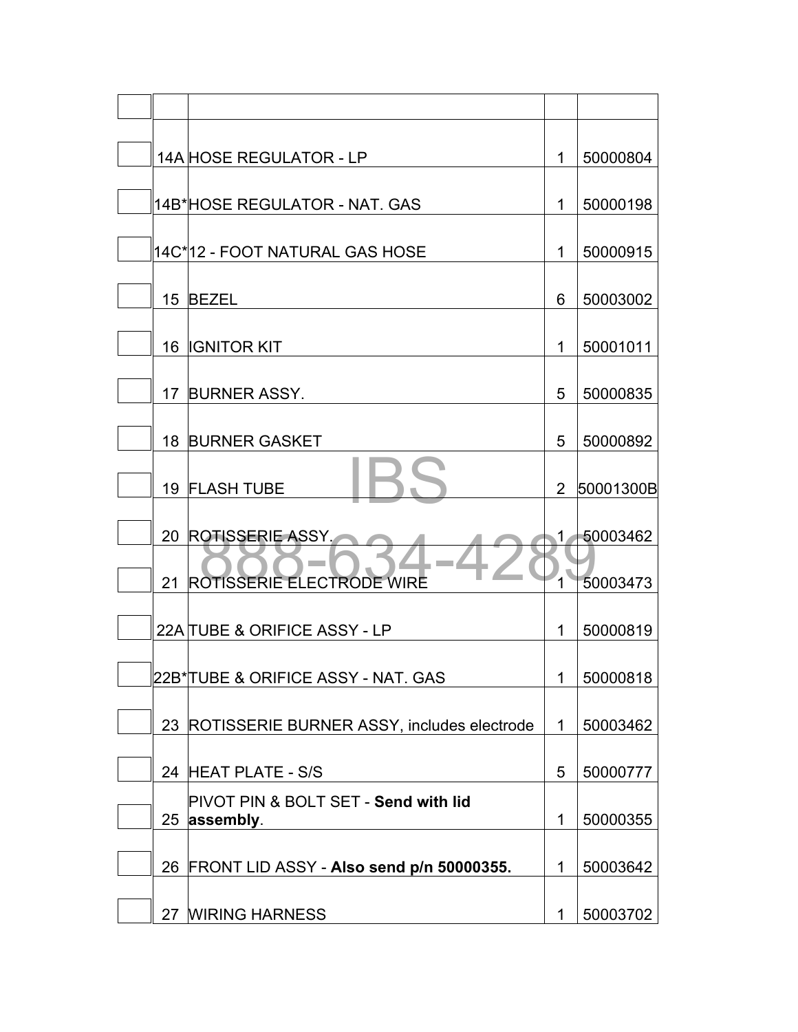|    | 14A HOSE REGULATOR - LP                              | 1           | 50000804   |
|----|------------------------------------------------------|-------------|------------|
|    | 14B*HOSE REGULATOR - NAT. GAS                        | 1           | 50000198   |
|    | 14C*12 - FOOT NATURAL GAS HOSE                       | 1           | 50000915   |
|    | 15 BEZEL                                             | 6           | 50003002   |
|    | 16 <b>IGNITOR KIT</b>                                | 1           | 50001011   |
|    | 17 BURNER ASSY.                                      | 5           | 50000835   |
|    | <b>18 BURNER GASKET</b>                              | 5           | 50000892   |
|    | 19 FLASH TUBE                                        | 2           | 50001300B  |
| 20 | <b>ROTISSERIE ASSY.</b>                              | 1           | 50003462   |
|    | 21 ROTISSERIE ELECTRODE WIRE                         |             | 50003473   |
|    | 22A TUBE & ORIFICE ASSY - LP                         | 1           | 50000819   |
|    | 22B* TUBE & ORIFIC <u>E ASSY - NAT. GAS</u>          |             | 1 50000818 |
|    | 23 ROTISSERIE BURNER ASSY, includes electrode        | $\mathbf 1$ | 50003462   |
|    | 24 HEAT PLATE - S/S                                  | 5           | 50000777   |
|    | PIVOT PIN & BOLT SET - Send with lid<br>25 assembly. | 1           | 50000355   |
|    | 26 FRONT LID ASSY - Also send p/n 50000355.          | 1           | 50003642   |
|    | 27 MIRING HARNESS                                    | 1           | 50003702   |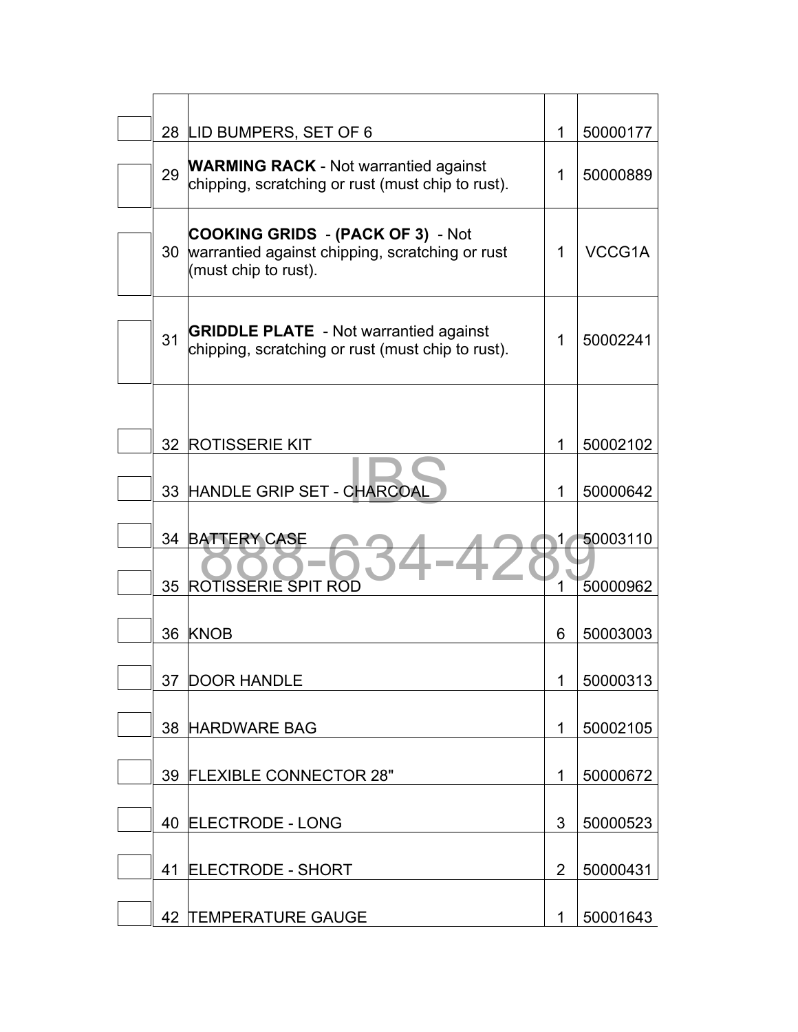|    | 28 LID BUMPERS, SET OF 6                                                                                            | 1  | 50000177 |
|----|---------------------------------------------------------------------------------------------------------------------|----|----------|
| 29 | <b>WARMING RACK</b> - Not warrantied against<br>chipping, scratching or rust (must chip to rust).                   | 1  | 50000889 |
| 30 | <b>COOKING GRIDS - (PACK OF 3) - Not</b><br>warrantied against chipping, scratching or rust<br>(must chip to rust). | 1  | VCCG1A   |
| 31 | <b>GRIDDLE PLATE</b> - Not warrantied against<br>chipping, scratching or rust (must chip to rust).                  | 1  | 50002241 |
|    | 32 ROTISSERIE KIT                                                                                                   | 1  | 50002102 |
|    | 33 HANDLE GRIP SET - CHARCOAL                                                                                       | 1  | 50000642 |
|    | 34 BATTERY CASE                                                                                                     | 1. | 50003110 |
| 35 | <b>ROTISSERIE SPIT ROD</b>                                                                                          |    | 50000962 |
|    | 36 KNOB                                                                                                             | 6  | 50003003 |
|    | 37 DOOR HANDLE                                                                                                      |    | 50000313 |
|    | 38 HARDWARE BAG                                                                                                     | 1  | 50002105 |
|    | 39 FLEXIBLE CONNECTOR 28"                                                                                           | 1  | 50000672 |
|    | 40 ELECTRODE - LONG                                                                                                 | 3  | 50000523 |
| 41 | <b>ELECTRODE - SHORT</b>                                                                                            | 2  | 50000431 |
|    | 42 TEMPERATURE GAUGE                                                                                                | 1  | 50001643 |